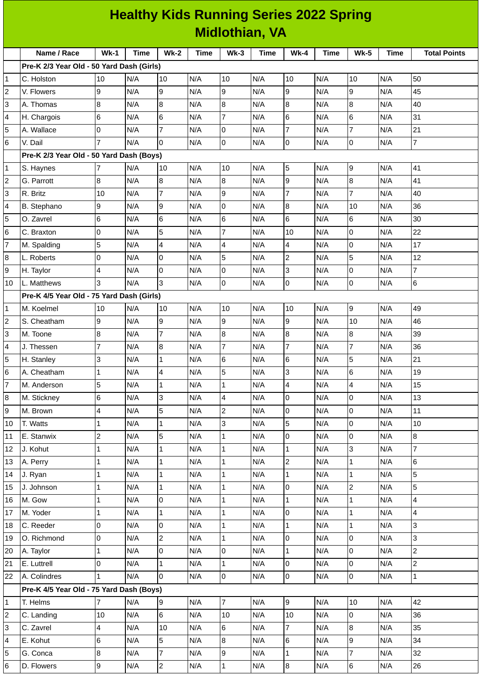|                | <b>Healthy Kids Running Series 2022 Spring</b> |                |             |                          |             |                |             |                  |             |                 |             |                          |  |
|----------------|------------------------------------------------|----------------|-------------|--------------------------|-------------|----------------|-------------|------------------|-------------|-----------------|-------------|--------------------------|--|
|                | Midlothian, VA                                 |                |             |                          |             |                |             |                  |             |                 |             |                          |  |
|                | Name / Race                                    | $Wk-1$         | <b>Time</b> | $Wk-2$                   | <b>Time</b> | $Wk-3$         | <b>Time</b> | <b>Wk-4</b>      | <b>Time</b> | <b>Wk-5</b>     | <b>Time</b> | <b>Total Points</b>      |  |
|                | Pre-K 2/3 Year Old - 50 Yard Dash (Girls)      |                |             |                          |             |                |             |                  |             |                 |             |                          |  |
| 1              | C. Holston                                     | 10             | N/A         | 10                       | N/A         | 10             | N/A         | 10               | N/A         | 10              | N/A         | 50                       |  |
| $\overline{c}$ | V. Flowers                                     | 9              | N/A         | 9                        | N/A         | 9              | N/A         | 9                | N/A         | 9               | N/A         | 45                       |  |
| 3              | A. Thomas                                      | 8              | N/A         | 8                        | N/A         | 8              | N/A         | 8                | N/A         | 8               | N/A         | 40                       |  |
| 4              | H. Chargois                                    | 6              | N/A         | 6                        | N/A         | $\overline{7}$ | N/A         | 6                | N/A         | 6               | N/A         | 31                       |  |
| 5              | A. Wallace                                     | 0              | N/A         | $\overline{7}$           | N/A         | 0              | N/A         | $\overline{7}$   | N/A         | $\overline{7}$  | N/A         | 21                       |  |
| 6              | V. Dail                                        | $\overline{7}$ | N/A         | 0                        | N/A         | 0              | N/A         | 0                | N/A         | 0               | N/A         | $\overline{7}$           |  |
|                | Pre-K 2/3 Year Old - 50 Yard Dash (Boys)       |                |             |                          |             |                |             |                  |             |                 |             |                          |  |
| 1              | S. Haynes                                      | 7              | N/A         | 10                       | N/A         | 10             | N/A         | 5                | N/A         | $\mathsf g$     | N/A         | 41                       |  |
| 2              | G. Parrott                                     | 8              | N/A         | 8                        | N/A         | 8              | N/A         | 9                | N/A         | 8               | N/A         | 41                       |  |
| 3              | R. Britz                                       | 10             | N/A         | $\overline{7}$           | N/A         | 9              | N/A         | $\overline{7}$   | N/A         | $\overline{7}$  | N/A         | 40                       |  |
| 4              | <b>B.</b> Stephano                             | 9              | N/A         | 9                        | N/A         | 0              | N/A         | 8                | N/A         | 10              | N/A         | 36                       |  |
| 5              | O. Zavrel                                      | 6              | N/A         | 6                        | N/A         | 6              | N/A         | 6                | N/A         | 6               | N/A         | 30                       |  |
| 6              | C. Braxton                                     | 0              | N/A         | 5                        | N/A         | $\overline{7}$ | N/A         | 10               | N/A         | 0               | N/A         | 22                       |  |
| 7              | M. Spalding                                    | 5              | N/A         | $\overline{4}$           | N/A         | 4              | N/A         | $\overline{4}$   | N/A         | 0               | N/A         | 17                       |  |
| 8              | L. Roberts                                     | 0              | N/A         | 0                        | N/A         | 5              | N/A         | $\overline{c}$   | N/A         | 5               | N/A         | 12                       |  |
| 9              | H. Taylor                                      | 4              | N/A         | 0                        | N/A         | 0              | N/A         | 3                | N/A         | 0               | N/A         | $\overline{7}$           |  |
| 10             | L. Matthews                                    | 3              | N/A         | 3                        | N/A         | 0              | N/A         | 0                | N/A         | 0               | N/A         | 6                        |  |
|                | Pre-K 4/5 Year Old - 75 Yard Dash (Girls)      |                |             |                          |             |                |             |                  |             |                 |             |                          |  |
| 1              | M. Koelmel                                     | 10             | N/A         | 10                       | N/A         | 10             | N/A         | 10               | N/A         | 9               | N/A         | 49                       |  |
| 2              | S. Cheatham                                    | 9              | N/A         | $\overline{9}$           | N/A         | 9              | N/A         | $\overline{9}$   | N/A         | 10              | N/A         | 46                       |  |
| 3              | M. Toone                                       | 8              | N/A         | $\overline{7}$           | N/A         | 8              | N/A         | $\boldsymbol{8}$ | N/A         | 8               | N/A         | 39                       |  |
| 4              | J. Thessen                                     | 7              | N/A         | 8                        | N/A         | $\overline{7}$ | N/A         | $\overline{7}$   | N/A         | $\overline{7}$  | N/A         | 36                       |  |
| 5              | H. Stanley                                     | 3              | N/A         | $\mathbf{1}$             | N/A         | 6              | N/A         | 6                | N/A         | 5               | N/A         | 21                       |  |
| 6              | A. Cheatham                                    | $\mathbf{1}$   | N/A         | $\overline{\mathcal{A}}$ | N/A         | 5              | N/A         | 3                | N/A         | $6\phantom{.}6$ | N/A         | 19                       |  |
| $\overline{7}$ | M. Anderson                                    | 5              | N/A         | $\mathbf{1}$             | N/A         | $\mathbf{1}$   | N/A         | 4                | N/A         | 4               | N/A         | 15                       |  |
| 8              | M. Stickney                                    | 6              | N/A         | $\overline{3}$           | N/A         | 4              | N/A         | $\overline{0}$   | N/A         | 0               | N/A         | 13                       |  |
| 9              | M. Brown                                       | 4              | N/A         | 5                        | N/A         | $\overline{c}$ | N/A         | l0               | N/A         | 0               | N/A         | 11                       |  |
| 10             | T. Watts                                       | 1              | N/A         | $\mathbf{1}$             | N/A         | 3              | N/A         | 5                | N/A         | 0               | N/A         | 10                       |  |
| 11             | E. Stanwix                                     | $\overline{c}$ | N/A         | 5                        | N/A         | $\mathbf{1}$   | N/A         | $\overline{0}$   | N/A         | 0               | N/A         | 8                        |  |
| 12             | J. Kohut                                       | 1              | N/A         | $\mathbf{1}$             | N/A         | $\mathbf{1}$   | N/A         | $\mathbf{1}$     | N/A         | 3               | N/A         | $\overline{7}$           |  |
| 13             | A. Perry                                       | 1              | N/A         | $\mathbf{1}$             | N/A         | $\mathbf 1$    | N/A         | $\overline{2}$   | N/A         | 1               | N/A         | 6                        |  |
| 14             | J. Ryan                                        | $\mathbf 1$    | N/A         | $\overline{1}$           | N/A         | $\mathbf{1}$   | N/A         | $\overline{1}$   | N/A         | $\mathbf{1}$    | N/A         | 5                        |  |
| 15             | J. Johnson                                     | 1              | N/A         | $\mathbf{1}$             | N/A         | $\mathbf 1$    | N/A         | $\overline{0}$   | N/A         | $\overline{c}$  | N/A         | 5                        |  |
| 16             | M. Gow                                         | 1              | N/A         | $\overline{0}$           | N/A         | $\mathbf{1}$   | N/A         | $\mathbf{1}$     | N/A         | $\mathbf 1$     | N/A         | $\overline{4}$           |  |
| 17             | M. Yoder                                       | 1              | N/A         | $\mathbf{1}$             | N/A         | $\mathbf{1}$   | N/A         | l0               | N/A         | $\mathbf 1$     | N/A         | $\overline{\mathcal{L}}$ |  |
| 18             | C. Reeder                                      | 0              | N/A         | 0                        | N/A         | $\mathbf{1}$   | N/A         | $\mathbf{1}$     | N/A         | $\mathbf{1}$    | N/A         | 3                        |  |
| 19             | O. Richmond                                    | 0              | N/A         | $\overline{2}$           | N/A         | $\mathbf{1}$   | N/A         | $\overline{0}$   | N/A         | 0               | N/A         | 3                        |  |
| 20             | A. Taylor                                      | 1              | N/A         | $\overline{0}$           | N/A         | 0              | N/A         | $\mathbf{1}$     | N/A         | 0               | N/A         | $\mathbf{2}$             |  |
| 21             | E. Luttrell                                    | 0              | N/A         | $\mathbf{1}$             | N/A         | $\mathbf 1$    | N/A         | 0                | N/A         | 0               | N/A         | $\overline{c}$           |  |
| 22             | A. Colindres                                   | $\mathbf{1}$   | N/A         | 0                        | N/A         | 0              | N/A         | $\overline{0}$   | N/A         | 0               | N/A         | $\mathbf{1}$             |  |
|                | Pre-K 4/5 Year Old - 75 Yard Dash (Boys)       |                |             |                          |             |                |             |                  |             |                 |             |                          |  |
| 1              | T. Helms                                       | 7              | N/A         | $\overline{9}$           | N/A         | $\overline{7}$ | N/A         | 9                | N/A         | 10              | N/A         | 42                       |  |
| 2              | C. Landing                                     | 10             | N/A         | $6\overline{6}$          | N/A         | 10             | N/A         | 10               | N/A         | 0               | N/A         | 36                       |  |
| 3              | C. Zavrel                                      | 4              | N/A         | 10                       | N/A         | 6              | N/A         | $\overline{7}$   | N/A         | 8               | N/A         | 35                       |  |
| 4              | E. Kohut                                       | 6              | N/A         | $\overline{5}$           | N/A         | 8              | N/A         | $6\phantom{.}$   | N/A         | 9               | N/A         | 34                       |  |
| 5              | G. Conca                                       | 8              | N/A         | $\overline{7}$           | N/A         | 9              | N/A         | $\mathbf{1}$     | N/A         | $\overline{7}$  | N/A         | 32                       |  |
| 6              | D. Flowers                                     | 9              | N/A         | $\overline{2}$           | N/A         | $\mathbf 1$    | N/A         | $\bf{8}$         | N/A         | 6               | N/A         | 26                       |  |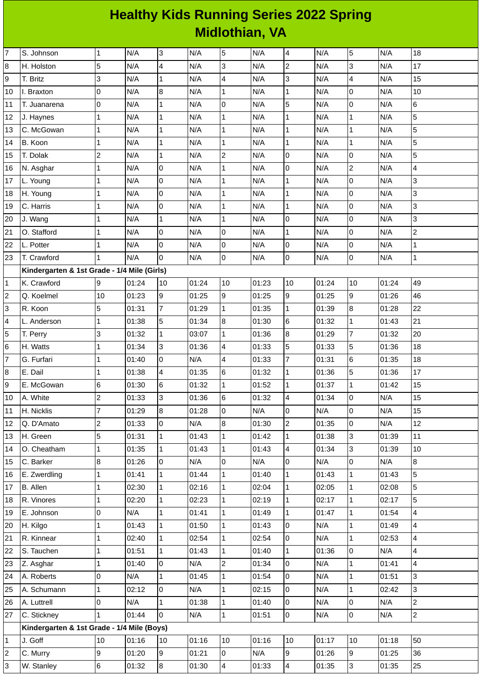## **Healthy Kids Running Series 2022 Spring Midlothian, VA**

| 7  | S. Johnson                                  | 1              | N/A   | 3              | N/A   | 5               | N/A   | 4              | N/A   | 5              | N/A   | 18             |
|----|---------------------------------------------|----------------|-------|----------------|-------|-----------------|-------|----------------|-------|----------------|-------|----------------|
| 8  | H. Holston                                  | 5              | N/A   | 4              | N/A   | 3               | N/A   | $\overline{c}$ | N/A   | 3              | N/A   | 17             |
| 9  | T. Britz                                    | 3              | N/A   | $\mathbf{1}$   | N/A   | 4               | N/A   | 3              | N/A   | 4              | N/A   | 15             |
| 10 | I. Braxton                                  | 0              | N/A   | $\bf{8}$       | N/A   | $\mathbf 1$     | N/A   | 1              | N/A   | 0              | N/A   | 10             |
| 11 | T. Juanarena                                | O              | N/A   | $\mathbf 1$    | N/A   | $\overline{0}$  | N/A   | 5              | N/A   | 0              | N/A   | 6              |
| 12 | J. Haynes                                   | 1              | N/A   | $\mathbf 1$    | N/A   | $\mathbf{1}$    | N/A   | $\mathbf 1$    | N/A   | $\mathbf 1$    | N/A   | 5              |
| 13 | C. McGowan                                  | $\mathbf{1}$   | N/A   | $\mathbf{1}$   | N/A   | $\mathbf{1}$    | N/A   | $\mathbf 1$    | N/A   | $\mathbf 1$    | N/A   | 5              |
| 14 | B. Koon                                     | 1              | N/A   | $\mathbf 1$    | N/A   | $\mathbf 1$     | N/A   | 1              | N/A   | $\mathbf 1$    | N/A   | 5              |
| 15 | T. Dolak                                    | $\overline{c}$ | N/A   | $\mathbf 1$    | N/A   | $\overline{c}$  | N/A   | 0              | N/A   | 0              | N/A   | 5              |
| 16 | N. Asghar                                   | 1              | N/A   | 0              | N/A   | $\mathbf 1$     | N/A   | 0              | N/A   | $\overline{c}$ | N/A   | $\overline{4}$ |
| 17 | L. Young                                    | 1              | N/A   | 0              | N/A   | $\mathbf{1}$    | N/A   | $\mathbf{1}$   | N/A   | 0              | N/A   | 3              |
| 18 | H. Young                                    | $\mathbf{1}$   | N/A   | 0              | N/A   | $\mathbf 1$     | N/A   | 1              | N/A   | 0              | N/A   | 3              |
| 19 | C. Harris                                   | 1              | N/A   | 0              | N/A   | $\mathbf 1$     | N/A   | $\mathbf 1$    | N/A   | 0              | N/A   | 3              |
| 20 | J. Wang                                     | 1              | N/A   | $\mathbf 1$    | N/A   | $\mathbf{1}$    | N/A   | 0              | N/A   | 0              | N/A   | 3              |
| 21 | O. Stafford                                 | 1              | N/A   | $\overline{0}$ | N/A   | $\overline{0}$  | N/A   | $\mathbf{1}$   | N/A   | 0              | N/A   | $\overline{c}$ |
| 22 | L. Potter                                   | 1              | N/A   | 0              | N/A   | $\overline{0}$  | N/A   | 0              | N/A   | 0              | N/A   | 1              |
| 23 | T. Crawford                                 | 1              | N/A   | 0              | N/A   | $\overline{0}$  | N/A   | 0              | N/A   | 0              | N/A   | $\mathbf{1}$   |
|    | Kindergarten & 1st Grade - 1/4 Mile (Girls) |                |       |                |       |                 |       |                |       |                |       |                |
| 1  | K. Crawford                                 | 9              | 01:24 | 10             | 01:24 | 10              | 01:23 | 10             | 01:24 | 10             | 01:24 | 49             |
| 2  | Q. Koelmel                                  | 10             | 01:23 | 9              | 01:25 | 9               | 01:25 | 9              | 01:25 | 9              | 01:26 | 46             |
| 3  | R. Koon                                     | 5              | 01:31 | 7              | 01:29 | $\mathbf{1}$    | 01:35 | $\mathbf 1$    | 01:39 | 8              | 01:28 | 22             |
| 4  | L. Anderson                                 | 1              | 01:38 | 5              | 01:34 | $\overline{8}$  | 01:30 | 6              | 01:32 | $\mathbf 1$    | 01:43 | 21             |
| 5  | T. Perry                                    | 3              | 01:32 | $\mathbf{1}$   | 03:07 | $\overline{1}$  | 01:36 | 8              | 01:29 | $\overline{7}$ | 01:32 | 20             |
| 6  | H. Watts                                    | 1              | 01:34 | 3              | 01:36 | 4               | 01:33 | 5              | 01:33 | 5              | 01:36 | 18             |
| 7  | G. Furfari                                  | $\mathbf{1}$   | 01:40 | 0              | N/A   | 4               | 01:33 | $\overline{7}$ | 01:31 | 6              | 01:35 | 18             |
| 8  | E. Dail                                     | 1              | 01:38 | 4              | 01:35 | $6\phantom{.}6$ | 01:32 | $\mathbf 1$    | 01:36 | 5              | 01:36 | 17             |
| 9  | E. McGowan                                  | 6              | 01:30 | 6              | 01:32 | $\mathbf 1$     | 01:52 | 1              | 01:37 | 1              | 01:42 | 15             |
| 10 | A. White                                    | 2              | 01:33 | 3              | 01:36 | 6               | 01:32 | 4              | 01:34 | 0              | N/A   | 15             |
| 11 | H. Nicklis                                  | $\overline{7}$ | 01:29 | $\bf{8}$       | 01:28 | $\overline{0}$  | N/A   | 0              | N/A   | 0              | N/A   | 15             |
| 12 | Q. D'Amato                                  | $\overline{c}$ | 01:33 | 0              | N/A   | 8               | 01:30 | $\overline{c}$ | 01:35 | 0              | N/A   | 12             |
| 13 | H. Green                                    | 5              | 01:31 | $\mathbf{1}$   | 01:43 | $\overline{1}$  | 01:42 | $\mathbf 1$    | 01:38 | 3              | 01:39 | 11             |
| 14 | O. Cheatham                                 | $\mathbf{1}$   | 01:35 | $\mathbf{1}$   | 01:43 | $\mathbf{1}$    | 01:43 | 4              | 01:34 | 3              | 01:39 | $10\,$         |
| 15 | C. Barker                                   | 8              | 01:26 | 0              | N/A   | 0               | N/A   | 0              | N/A   | 0              | N/A   | 8              |
| 16 | E. Zwerdling                                | $\mathbf{1}$   | 01:41 | $\mathbf{1}$   | 01:44 | $\mathbf{1}$    | 01:40 | $\mathbf{1}$   | 01:43 | $\mathbf{1}$   | 01:43 | 5              |
| 17 | <b>B.</b> Allen                             | 1              | 02:30 | $\mathbf{1}$   | 02:16 | $\mathbf 1$     | 02:04 | 1              | 02:05 | $\mathbf{1}$   | 02:08 | 5              |
| 18 | R. Vinores                                  | $\mathbf{1}$   | 02:20 | $\mathbf 1$    | 02:23 | $\mathbf{1}$    | 02:19 | $\mathbf 1$    | 02:17 | $\mathbf{1}$   | 02:17 | 5              |
| 19 | E. Johnson                                  | $\overline{0}$ | N/A   | $\mathbf{1}$   | 01:41 | $\overline{1}$  | 01:49 | $\mathbf{1}$   | 01:47 | $\mathbf 1$    | 01:54 | 4              |
| 20 | H. Kilgo                                    | $\mathbf{1}$   | 01:43 | $\mathbf{1}$   | 01:50 | $\overline{1}$  | 01:43 | 0              | N/A   | $\mathbf{1}$   | 01:49 | 4              |
| 21 | R. Kinnear                                  | $\mathbf{1}$   | 02:40 | $\mathbf{1}$   | 02:54 | $\overline{1}$  | 02:54 | 0              | N/A   | $\mathbf 1$    | 02:53 | $\overline{4}$ |
| 22 | S. Tauchen                                  | $\mathbf{1}$   | 01:51 | 1              | 01:43 | $\mathbf{1}$    | 01:40 | 1              | 01:36 | 0              | N/A   | $\overline{4}$ |
| 23 | Z. Asghar                                   | $\mathbf{1}$   | 01:40 | 0              | N/A   | $\overline{c}$  | 01:34 | 0              | N/A   | $\mathbf{1}$   | 01:41 | 4              |
| 24 | A. Roberts                                  | 0              | N/A   | $\mathbf{1}$   | 01:45 | $\overline{1}$  | 01:54 | 0              | N/A   | $\mathbf{1}$   | 01:51 | 3              |
| 25 | A. Schumann                                 | 1              | 02:12 | 0              | N/A   | $\mathbf{1}$    | 02:15 | 0              | N/A   | $\mathbf 1$    | 02:42 | 3              |
| 26 | A. Luttrell                                 | 0              | N/A   | $\mathbf{1}$   | 01:38 | $\mathbf{1}$    | 01:40 | 0              | N/A   | 0              | N/A   | $\mathbf{2}$   |
| 27 | C. Stickney                                 | $\mathbf{1}$   | 01:44 | $\overline{0}$ | N/A   | $\mathbf{1}$    | 01:51 | 0              | N/A   | 0              | N/A   | $\overline{2}$ |
|    | Kindergarten & 1st Grade - 1/4 Mile (Boys)  |                |       |                |       |                 |       |                |       |                |       |                |
| 1  | J. Goff                                     | 10             | 01:16 | 10             | 01:16 | 10              | 01:16 | 10             | 01:17 | 10             | 01:18 | 50             |
| 2  | C. Murry                                    | 9              | 01:20 | 9              | 01:21 | O               | N/A   | 9              | 01:26 | 9              | 01:25 | 36             |
| 3  | W. Stanley                                  | $\,6$          | 01:32 | 8              | 01:30 | 4               | 01:33 | 4              | 01:35 | 3              | 01:35 | 25             |
|    |                                             |                |       |                |       |                 |       |                |       |                |       |                |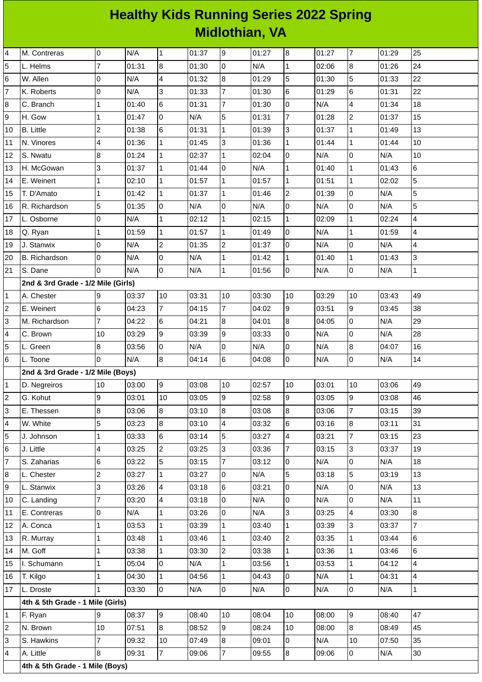## **Healthy Kids Running Series 2022 Spring Midlothian, VA**

| 4                       | M. Contreras                       | $\overline{0}$ | N/A   | $\mathbf 1$    | 01:37 | l9              | 01:27 | $\bf{8}$       | 01:27 | $\overline{7}$           | 01:29 | 25             |
|-------------------------|------------------------------------|----------------|-------|----------------|-------|-----------------|-------|----------------|-------|--------------------------|-------|----------------|
| 5                       | L. Helms                           | $\overline{7}$ | 01:31 | $\bf{8}$       | 01:30 | $\overline{0}$  | N/A   | $\mathbf{1}$   | 02:06 | 8                        | 01:26 | 24             |
| 6                       | W. Allen                           | 0              | N/A   | 4              | 01:32 | $\bf{8}$        | 01:29 | 5              | 01:30 | 5                        | 01:33 | 22             |
| 7                       | K. Roberts                         | 0              | N/A   | 3              | 01:33 | $\overline{7}$  | 01:30 | 6              | 01:29 | 6                        | 01:31 | 22             |
| 8                       | C. Branch                          | $\mathbf{1}$   | 01:40 | 6              | 01:31 | $\overline{7}$  | 01:30 | 0              | N/A   | $\overline{\mathcal{A}}$ | 01:34 | 18             |
| 9                       | H. Gow                             | $\overline{1}$ | 01:47 | $\mathsf 0$    | N/A   | 5               | 01:31 | $\overline{7}$ | 01:28 | $\overline{c}$           | 01:37 | 15             |
| 10                      | <b>B.</b> Little                   | $\overline{c}$ | 01:38 | $\,$ 6         | 01:31 | $\mathbf{1}$    | 01:39 | 3              | 01:37 | $\mathbf{1}$             | 01:49 | 13             |
| 11                      | N. Vinores                         | 4              | 01:36 | $\mathbf 1$    | 01:45 | 3               | 01:36 | 1              | 01:44 | $\mathbf 1$              | 01:44 | 10             |
| 12                      | S. Nwatu                           | 8              | 01:24 | $\mathbf{1}$   | 02:37 | $\mathbf{1}$    | 02:04 | 0              | N/A   | 0                        | N/A   | 10             |
| 13                      | H. McGowan                         | 3              | 01:37 | $\mathbf{1}$   | 01:44 | $\overline{0}$  | N/A   | $\mathbf{1}$   | 01:40 | $\mathbf{1}$             | 01:43 | 6              |
| 14                      | E. Weinert                         | $\mathbf{1}$   | 02:10 | $\mathbf 1$    | 01:57 | $\mathbf{1}$    | 01:57 | $\mathbf{1}$   | 01:51 | $\mathbf{1}$             | 02:02 | 5              |
| 15                      | T. D'Amato                         | $\overline{1}$ | 01:42 | $\mathbf{1}$   | 01:37 | $\mathbf{1}$    | 01:46 | $\overline{c}$ | 01:39 | 0                        | N/A   | 5              |
| 16                      | R. Richardson                      | 5              | 01:35 | 0              | N/A   | $\overline{0}$  | N/A   | 0              | N/A   | 0                        | N/A   | 5              |
| 17                      | L. Osborne                         | O              | N/A   | $\mathbf{1}$   | 02:12 | $\overline{1}$  | 02:15 | $\mathbf{1}$   | 02:09 | $\mathbf 1$              | 02:24 | 4              |
| 18                      | Q. Ryan                            | $\mathbf{1}$   | 01:59 | $\mathbf{1}$   | 01:57 | $\mathbf{1}$    | 01:49 | 0              | N/A   | $\mathbf 1$              | 01:59 | 4              |
| 19                      | J. Stanwix                         | 0              | N/A   | $\overline{c}$ | 01:35 | $\overline{c}$  | 01:37 | 0              | N/A   | 0                        | N/A   | $\overline{4}$ |
| 20                      | <b>B.</b> Richardson               | O              | N/A   | 0              | N/A   | $\mathbf 1$     | 01:42 | $\mathbf{1}$   | 01:40 | $\mathbf 1$              | 01:43 | 3              |
| 21                      | S. Dane                            | <sup>0</sup>   | N/A   | $\overline{0}$ | N/A   | $\mathbf{1}$    | 01:56 | 0              | N/A   | 0                        | N/A   | $\mathbf 1$    |
|                         | 2nd & 3rd Grade - 1/2 Mile (Girls) |                |       |                |       |                 |       |                |       |                          |       |                |
| 1                       | A. Chester                         | 9              | 03:37 | 10             | 03:31 | 10              | 03:30 | 10             | 03:29 | 10                       | 03:43 | 49             |
| 2                       | E. Weinert                         | 6              | 04:23 | $\overline{7}$ | 04:15 | $\overline{7}$  | 04:02 | 9              | 03:51 | 9                        | 03:45 | 38             |
| 3                       | M. Richardson                      | $\overline{7}$ | 04:22 | 6              | 04:21 | $\overline{8}$  | 04:01 | 8              | 04:05 | 0                        | N/A   | 29             |
| 4                       | C. Brown                           | 10             | 03:29 | 9              | 03:39 | 9               | 03:33 | 0              | N/A   | 0                        | N/A   | 28             |
| 5                       | L. Green                           | 8              | 03:56 | 0              | N/A   | $\overline{0}$  | N/A   | 0              | N/A   | 8                        | 04:07 | 16             |
|                         |                                    |                |       |                |       |                 |       |                |       |                          |       |                |
| 6                       | L. Toone                           | $\Omega$       | N/A   | $\bf{8}$       | 04:14 | $6\phantom{.}6$ | 04:08 | 0              | N/A   | 0                        | N/A   | 14             |
|                         | 2nd & 3rd Grade - 1/2 Mile (Boys)  |                |       |                |       |                 |       |                |       |                          |       |                |
| $\mathbf{1}$            | D. Negreiros                       | 10             | 03:00 | 9              | 03:08 | 10              | 02:57 | 10             | 03:01 | 10                       | 03:06 | 49             |
| 2                       | G. Kohut                           | 9              | 03:01 | 10             | 03:05 | 9               | 02:58 | 9              | 03:05 | 9                        | 03:08 | 46             |
| 3                       | E. Thessen                         | $\bf{8}$       | 03:06 | $\bf 8$        | 03:10 | 8               | 03:08 | $\bf{8}$       | 03:06 | $\overline{7}$           | 03:15 | 39             |
| 4                       | W. White                           | 5              | 03:23 | 8              | 03:10 | 4               | 03:32 | 6              | 03:16 | 8                        | 03:11 | 31             |
| 5                       | J. Johnson                         | $\mathbf{1}$   | 03:33 | $6\phantom{.}$ | 03:14 | 5               | 03:27 | 4              | 03:21 | $\overline{7}$           | 03:15 | 23             |
| 6                       | J. Little                          | 4              | 03:25 | $\overline{c}$ | 03:25 | 3               | 03:36 | 7              | 03:15 | 3                        | 03:37 | 19             |
| 7                       | S. Zaharias                        | 6              | 03:22 | 5              | 03:15 | $\overline{7}$  | 03:12 | 0              | N/A   | 0                        | N/A   | 18             |
| 8                       | L. Chester                         | $\overline{c}$ | 03:27 | $\mathbf{1}$   | 03:27 | O               | N/A   | 5              | 03:18 | 5                        | 03:19 | 13             |
| 9                       | L. Stanwix                         | 3              | 03:26 | 4              | 03:18 | $6\phantom{.}6$ | 03:21 | 0              | N/A   | 0                        | N/A   | 13             |
| 10                      | C. Landing                         | $\overline{7}$ | 03:20 | 4              | 03:18 | l0              | N/A   | 0              | N/A   | 0                        | N/A   | 11             |
| 11                      | E. Contreras                       | $\overline{0}$ | N/A   | $\mathbf{1}$   | 03:26 | O               | N/A   | 3              | 03:25 | 4                        | 03:30 | 8              |
| 12                      | A. Conca                           | $\mathbf{1}$   | 03:53 | $\mathbf{1}$   | 03:39 | $\overline{1}$  | 03:40 | $\mathbf{1}$   | 03:39 | 3                        | 03:37 | $\overline{7}$ |
| 13                      | R. Murray                          | $\mathbf{1}$   | 03:48 | $\mathbf{1}$   | 03:46 | $\mathbf{1}$    | 03:40 | $\overline{2}$ | 03:35 | $\mathbf{1}$             | 03:44 | 6              |
| 14                      | M. Goff                            | $\mathbf{1}$   | 03:38 | 1              | 03:30 | $\overline{c}$  | 03:38 | $\mathbf{1}$   | 03:36 | $\mathbf{1}$             | 03:46 | 6              |
| 15                      | I. Schumann                        | $\mathbf{1}$   | 05:04 | 0              | N/A   | $\mathbf{1}$    | 03:56 | $\mathbf{1}$   | 03:53 | $\mathbf{1}$             | 04:12 | 4              |
| 16                      | T. Kilgo                           | $\mathbf{1}$   | 04:30 | $\mathbf{1}$   | 04:56 | $\mathbf 1$     | 04:43 | 0              | N/A   | $\mathbf{1}$             | 04:31 | 4              |
| 17                      | L. Droste                          | $\mathbf{1}$   | 03:30 | 0              | N/A   | $\overline{0}$  | N/A   | 0              | N/A   | 0                        | N/A   | $\mathbf{1}$   |
|                         | 4th & 5th Grade - 1 Mile (Girls)   |                |       |                |       |                 |       |                |       |                          |       |                |
| 1                       | F. Ryan                            | 9              | 08:37 | 9              | 08:40 | 10              | 08:04 | 10             | 08:00 | 9                        | 08:40 | 47             |
| $\overline{\mathbf{c}}$ | N. Brown                           | 10             | 07:51 | 8              | 08:52 | 9               | 08:24 | 10             | 08:00 | 8                        | 08:49 | 45             |
| 3                       | S. Hawkins                         | $\overline{7}$ | 09:32 | 10             | 07:49 | 8               | 09:01 | 0              | N/A   | 10                       | 07:50 | 35             |
| 4                       | A. Little                          | 8              | 09:31 | $\overline{7}$ | 09:06 | $\overline{7}$  | 09:55 | 8              | 09:06 | 0                        | N/A   | 30             |